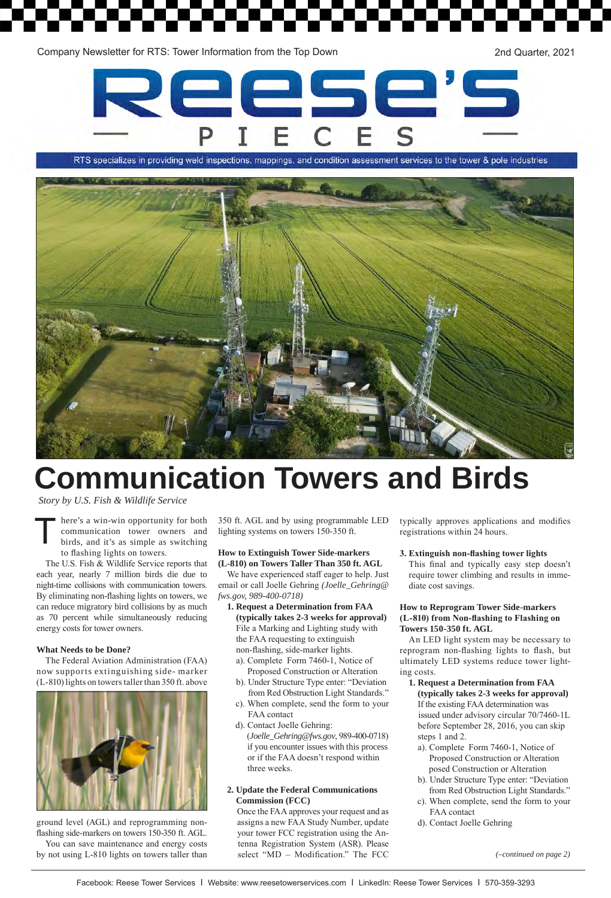Company Newsletter for RTS: Tower Information from the Top Down 2nd Quarter, 2021



RTS specializes in providing weld inspections, mappings, and condition assessment services to the tower & pole industries



# **Communication Towers and Birds**

*Story by U.S. Fish & Wildlife Service*

here's a win-win opportunity for both communication tower owners and birds, and it's as simple as switching to flashing lights on towers.

The U.S. Fish & Wildlife Service reports that each year, nearly 7 million birds die due to night-time collisions with communication towers. By eliminating non-flashing lights on towers, we can reduce migratory bird collisions by as much as 70 percent while simultaneously reducing energy costs for tower owners.

#### **What Needs to be Done?**

The Federal Aviation Administration (FAA) now supports extinguishing side- marker (L-810) lights on towers taller than 350 ft. above



ground level (AGL) and reprogramming nonflashing side-markers on towers 150-350 ft. AGL. You can save maintenance and energy costs by not using L-810 lights on towers taller than

350 ft. AGL and by using programmable LED lighting systems on towers 150-350 ft.

#### **How to Extinguish Tower Side-markers (L-810) on Towers Taller Than 350 ft. AGL**

We have experienced staff eager to help. Just email or call Joelle Gehring *(Joelle\_Gehring@ fws.gov, 989-400-0718)*

- **1. 1. Request a Determination from FAA 1. (typically takes 2-3 weeks for approval) 1.** File a Marking and Lighting study with **1.** the FAA requesting to extinguish **1.** non-flashing, side-marker lights.
	- **1.** a). Complete Form 7460-1, Notice of Proposed Construction or Alteration
	- **1.** b). Under Structure Type enter: "Deviation from Red Obstruction Light Standards."
	- **1.** c). When complete, send the form to your **1.** b). FAA contact
	- d). Contact Joelle Gehring: **1.** c). (*Joelle\_Gehring@fws.gov*, 989-400-0718) if you encounter issues with this process or if the FAA doesn't respond within three weeks.
- **1. 2. Update the Federal Communications 1. 2. Commission (FCC)**

**1.** Once the FAA approves your request and as **1.** assigns a new FAA Study Number, update **1.** your tower FCC registration using the An-**1.** tenna Registration System (ASR). Please **1.** select "MD – Modification." The FCC typically approves applications and modifies registrations within 24 hours.

**3. Extinguish non-flashing tower lights** This final and typically easy step doesn't require tower climbing and results in immediate cost savings.

#### **How to Reprogram Tower Side-markers (L-810) from Non-flashing to Flashing on Towers 150-350 ft. AGL**

An LED light system may be necessary to reprogram non-flashing lights to flash, but ultimately LED systems reduce tower lighting costs.

- **1. 1. Request a Determination from FAA 1. 1. (typically takes 2-3 weeks for approval)** If the existing FAA determination was issued under advisory circular 70/7460-1L before September 28, 2016, you can skip steps 1 and 2.
	- **1.** a). Complete Form 7460-1, Notice of Proposed Construction or Alteration posed Construction or Alteration
	- **1.** b). Under Structure Type enter: "Deviation from Red Obstruction Light Standards."
	- **1.** c). When complete, send the form to your **1.** b). FAA contact
	- d). Contact Joelle Gehring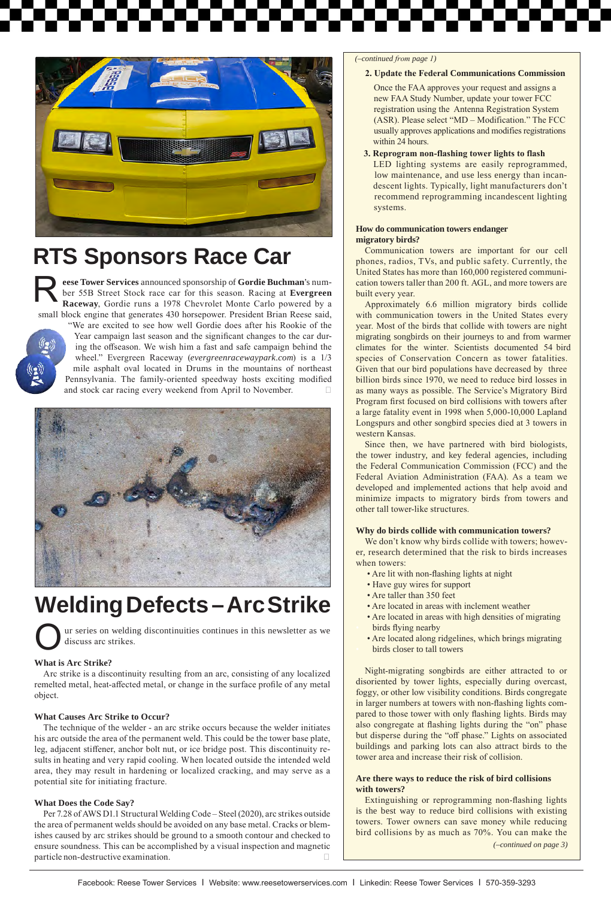

### **RTS Sponsors Race Car**

R**eese Tower Services** announced sponsorship of **Gordie Buchman**'s number 55B Street Stock race car for this season. Racing at **Evergreen Raceway**, Gordie runs a 1978 Chevrolet Monte Carlo powered by a small block engine that generates 430 horsepower. President Brian Reese said,



"We are excited to see how well Gordie does after his Rookie of the Year campaign last season and the significant changes to the car during the offseason. We wish him a fast and safe campaign behind the wheel." Evergreen Raceway (*evergreenracewaypark.com*) is a 1/3 mile asphalt oval located in Drums in the mountains of northeast Pennsylvania. The family-oriented speedway hosts exciting modified and stock car racing every weekend from April to November.



## **Welding Defects – Arc Strike**

ur series on welding discontinuities continues in this newsletter as we discuss arc strikes. O

### **What is Arc Strike?**

Arc strike is a discontinuity resulting from an arc, consisting of any localized remelted metal, heat-affected metal, or change in the surface profile of any metal object.

### **What Causes Arc Strike to Occur?**

The technique of the welder - an arc strike occurs because the welder initiates his arc outside the area of the permanent weld. This could be the tower base plate, leg, adjacent stiffener, anchor bolt nut, or ice bridge post. This discontinuity results in heating and very rapid cooling. When located outside the intended weld area, they may result in hardening or localized cracking, and may serve as a potential site for initiating fracture.

#### **What Does the Code Say?**

Per 7.28 of AWS D1.1 Structural Welding Code – Steel (2020), arc strikes outside the area of permanent welds should be avoided on any base metal. Cracks or blemishes caused by arc strikes should be ground to a smooth contour and checked to ensure soundness. This can be accomplished by a visual inspection and magnetic particle non-destructive examination.

#### *(–continued from page 1)*

#### **2. Update the Federal Communications Commission**

- **2.** Once the FAA approves your request and assigns a **2.** new FAA Study Number, update your tower FCC **2.** registration using the Antenna Registration System **2.** (ASR). Please select "MD – Modification." The FCC **2.** usually approves applications and modifies registrations within 24 hours.
- **2. 3. Reprogram non-flashing tower lights to flash 2. 2.**LED lighting systems are easily reprogrammed, low maintenance, and use less energy than incandescent lights. Typically, light manufacturers don't **2. 2.** recommend reprogramming incandescent lighting **2. 2.** systems.

#### **How do communication towers endanger migratory birds?**

Communication towers are important for our cell phones, radios, TVs, and public safety. Currently, the United States has more than 160,000 registered communication towers taller than 200 ft. AGL, and more towers are built every year.

Approximately 6.6 million migratory birds collide with communication towers in the United States every year. Most of the birds that collide with towers are night migrating songbirds on their journeys to and from warmer climates for the winter. Scientists documented 54 bird species of Conservation Concern as tower fatalities. Given that our bird populations have decreased by three billion birds since 1970, we need to reduce bird losses in as many ways as possible. The Service's Migratory Bird Program first focused on bird collisions with towers after a large fatality event in 1998 when 5,000-10,000 Lapland Longspurs and other songbird species died at 3 towers in western Kansas.

Since then, we have partnered with bird biologists, the tower industry, and key federal agencies, including the Federal Communication Commission (FCC) and the Federal Aviation Administration (FAA). As a team we developed and implemented actions that help avoid and minimize impacts to migratory birds from towers and other tall tower-like structures.

#### **Why do birds collide with communication towers?**

We don't know why birds collide with towers; however, research determined that the risk to birds increases when towers:

- Are lit with non-flashing lights at night
- Have guy wires for support
- Are taller than 350 feet
- Are located in areas with inclement weather
- Are located in areas with high densities of migrating birds flying nearby
- Are located along ridgelines, which brings migrating birds closer to tall towers

Night-migrating songbirds are either attracted to or disoriented by tower lights, especially during overcast, foggy, or other low visibility conditions. Birds congregate in larger numbers at towers with non-flashing lights compared to those tower with only flashing lights. Birds may also congregate at flashing lights during the "on" phase but disperse during the "off phase." Lights on associated buildings and parking lots can also attract birds to the tower area and increase their risk of collision.

#### **Are there ways to reduce the risk of bird collisions with towers?**

Extinguishing or reprogramming non-flashing lights is the best way to reduce bird collisions with existing towers. Tower owners can save money while reducing bird collisions by as much as 70%. You can make the *(–continued on page 3)*